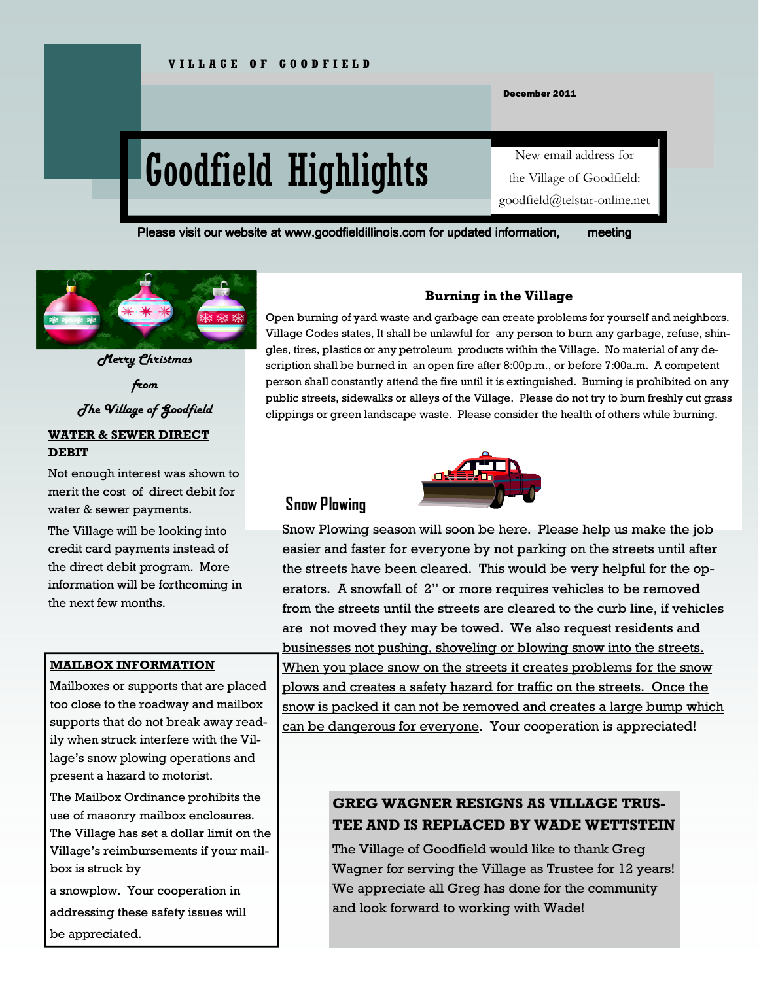December 2011

# Goodfield Highlights

# New email address for the Village of Goodfield: goodfield@telstar-online.net

Please visit our website at www.goodfieldillinois.com for updated information, meeting



WATER & SEWER DIRECT Merry Christmas from The Village of Goodfield

# DEBIT

Not enough interest was shown to merit the cost of direct debit for water & sewer payments.

The Village will be looking into credit card payments instead of the direct debit program. More information will be forthcoming in the next few months.

#### MAILBOX INFORMATION

Mailboxes or supports that are placed too close to the roadway and mailbox supports that do not break away readily when struck interfere with the Village's snow plowing operations and present a hazard to motorist.

The Mailbox Ordinance prohibits the use of masonry mailbox enclosures. The Village has set a dollar limit on the Village's reimbursements if your mailbox is struck by

a snowplow. Your cooperation in addressing these safety issues will be appreciated.

#### Burning in the Village

Open burning of yard waste and garbage can create problems for yourself and neighbors. Village Codes states, It shall be unlawful for any person to burn any garbage, refuse, shingles, tires, plastics or any petroleum products within the Village. No material of any description shall be burned in an open fire after 8:00p.m., or before 7:00a.m. A competent person shall constantly attend the fire until it is extinguished. Burning is prohibited on any public streets, sidewalks or alleys of the Village. Please do not try to burn freshly cut grass clippings or green landscape waste. Please consider the health of others while burning.



### Snow Plowing

Snow Plowing season will soon be here. Please help us make the job easier and faster for everyone by not parking on the streets until after the streets have been cleared. This would be very helpful for the operators. A snowfall of 2" or more requires vehicles to be removed from the streets until the streets are cleared to the curb line, if vehicles are not moved they may be towed. We also request residents and businesses not pushing, shoveling or blowing snow into the streets. When you place snow on the streets it creates problems for the snow plows and creates a safety hazard for traffic on the streets. Once the snow is packed it can not be removed and creates a large bump which can be dangerous for everyone. Your cooperation is appreciated!

# GREG WAGNER RESIGNS AS VILLAGE TRUS-TEE AND IS REPLACED BY WADE WETTSTEIN

The Village of Goodfield would like to thank Greg Wagner for serving the Village as Trustee for 12 years! We appreciate all Greg has done for the community and look forward to working with Wade!